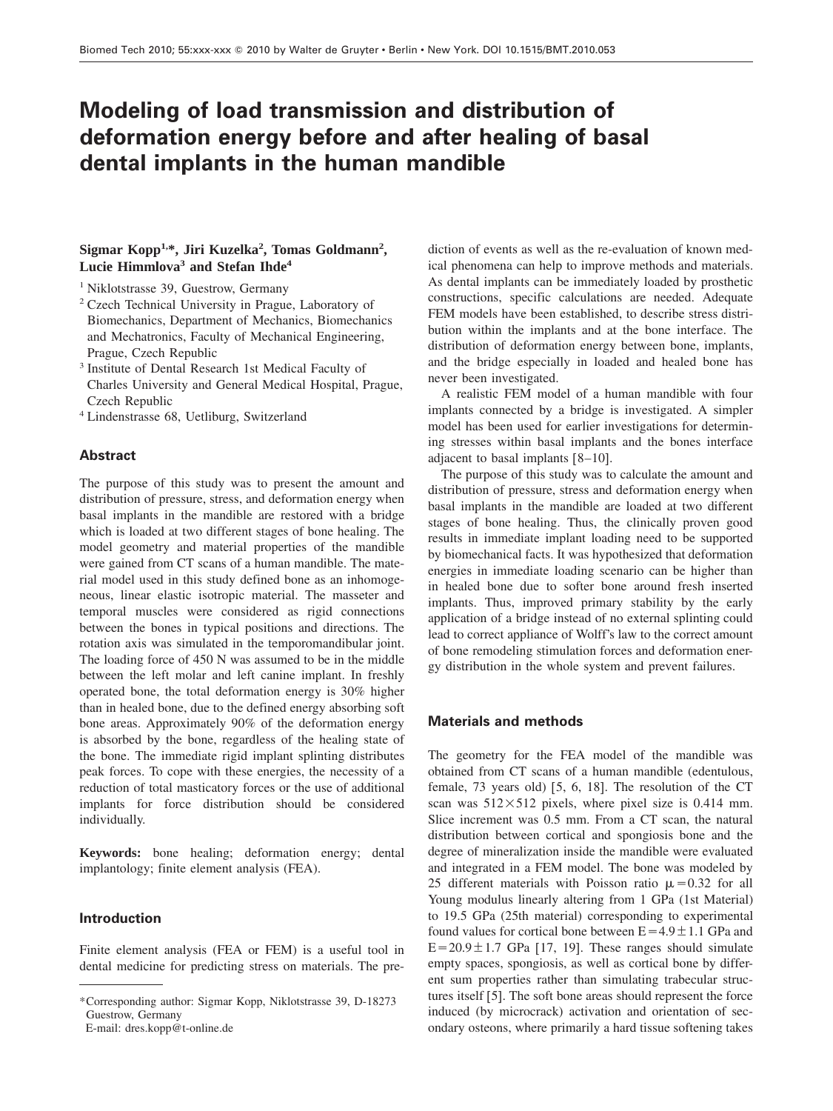# **Modeling of load transmission and distribution of deformation energy before and after healing of basal dental implants in the human mandible**

# **Sigmar Kopp1,\*, Jiri Kuzelka2 , Tomas Goldmann2 , Lucie Himmlova3 and Stefan Ihde4**

<sup>1</sup> Niklotstrasse 39, Guestrow, Germany

- <sup>2</sup> Czech Technical University in Prague, Laboratory of Biomechanics, Department of Mechanics, Biomechanics and Mechatronics, Faculty of Mechanical Engineering, Prague, Czech Republic
- <sup>3</sup> Institute of Dental Research 1st Medical Faculty of Charles University and General Medical Hospital, Prague, Czech Republic
- <sup>4</sup> Lindenstrasse 68, Uetliburg, Switzerland

#### **Abstract**

The purpose of this study was to present the amount and distribution of pressure, stress, and deformation energy when basal implants in the mandible are restored with a bridge which is loaded at two different stages of bone healing. The model geometry and material properties of the mandible were gained from CT scans of a human mandible. The material model used in this study defined bone as an inhomogeneous, linear elastic isotropic material. The masseter and temporal muscles were considered as rigid connections between the bones in typical positions and directions. The rotation axis was simulated in the temporomandibular joint. The loading force of 450 N was assumed to be in the middle between the left molar and left canine implant. In freshly operated bone, the total deformation energy is 30% higher than in healed bone, due to the defined energy absorbing soft bone areas. Approximately 90% of the deformation energy is absorbed by the bone, regardless of the healing state of the bone. The immediate rigid implant splinting distributes peak forces. To cope with these energies, the necessity of a reduction of total masticatory forces or the use of additional implants for force distribution should be considered individually.

**Keywords:** bone healing; deformation energy; dental implantology; finite element analysis (FEA).

#### **Introduction**

Finite element analysis (FEA or FEM) is a useful tool in dental medicine for predicting stress on materials. The prediction of events as well as the re-evaluation of known medical phenomena can help to improve methods and materials. As dental implants can be immediately loaded by prosthetic constructions, specific calculations are needed. Adequate FEM models have been established, to describe stress distribution within the implants and at the bone interface. The distribution of deformation energy between bone, implants, and the bridge especially in loaded and healed bone has never been investigated.

A realistic FEM model of a human mandible with four implants connected by a bridge is investigated. A simpler model has been used for earlier investigations for determining stresses within basal implants and the bones interface adjacent to basal implants  $[8-10]$ .

The purpose of this study was to calculate the amount and distribution of pressure, stress and deformation energy when basal implants in the mandible are loaded at two different stages of bone healing. Thus, the clinically proven good results in immediate implant loading need to be supported by biomechanical facts. It was hypothesized that deformation energies in immediate loading scenario can be higher than in healed bone due to softer bone around fresh inserted implants. Thus, improved primary stability by the early application of a bridge instead of no external splinting could lead to correct appliance of Wolff's law to the correct amount of bone remodeling stimulation forces and deformation energy distribution in the whole system and prevent failures.

#### **Materials and methods**

The geometry for the FEA model of the mandible was obtained from CT scans of a human mandible (edentulous, female,  $73$  years old)  $[5, 6, 18]$ . The resolution of the CT scan was  $512\times512$  pixels, where pixel size is 0.414 mm. Slice increment was 0.5 mm. From a CT scan, the natural distribution between cortical and spongiosis bone and the degree of mineralization inside the mandible were evaluated and integrated in a FEM model. The bone was modeled by 25 different materials with Poisson ratio  $\mu$  = 0.32 for all Young modulus linearly altering from 1 GPa (1st Material) to 19.5 GPa (25th material) corresponding to experimental found values for cortical bone between  $E = 4.9 \pm 1.1$  GPa and  $E = 20.9 \pm 1.7$  GPa [17, 19]. These ranges should simulate empty spaces, spongiosis, as well as cortical bone by different sum properties rather than simulating trabecular structures itself [5]. The soft bone areas should represent the force induced (by microcrack) activation and orientation of secondary osteons, where primarily a hard tissue softening takes

<sup>\*</sup>Corresponding author: Sigmar Kopp, Niklotstrasse 39, D-18273 Guestrow, Germany

E-mail: dres.kopp@t-online.de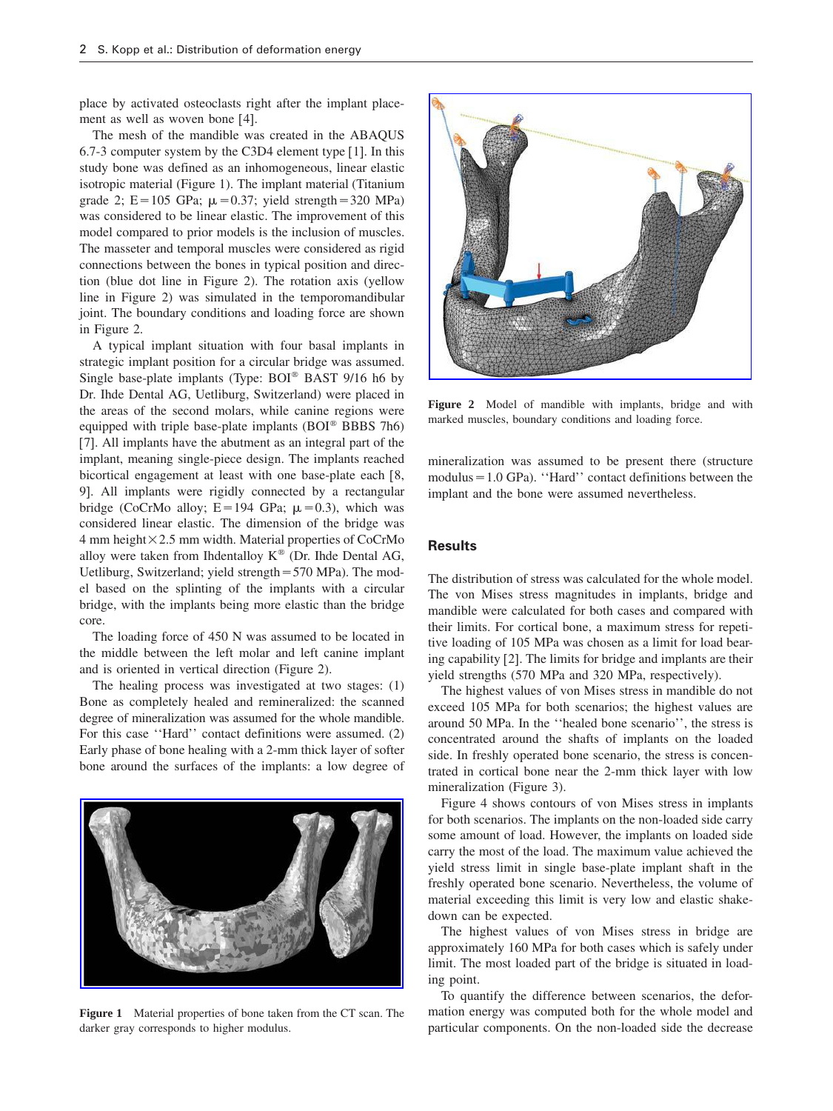place by activated osteoclasts right after the implant placement as well as woven bone  $[4]$ .

The mesh of the mandible was created in the ABAQUS 6.7-3 computer system by the C3D4 element type  $[1]$ . In this study bone was defined as an inhomogeneous, linear elastic isotropic material (Figure 1). The implant material (Titanium grade 2;  $E = 105$  GPa;  $\mu = 0.37$ ; yield strength = 320 MPa) was considered to be linear elastic. The improvement of this model compared to prior models is the inclusion of muscles. The masseter and temporal muscles were considered as rigid connections between the bones in typical position and direction (blue dot line in Figure 2). The rotation axis (yellow line in Figure 2) was simulated in the temporomandibular joint. The boundary conditions and loading force are shown in Figure 2.

A typical implant situation with four basal implants in strategic implant position for a circular bridge was assumed. Single base-plate implants (Type: BOI<sup>®</sup> BAST 9/16 h6 by Dr. Ihde Dental AG, Uetliburg, Switzerland) were placed in the areas of the second molars, while canine regions were equipped with triple base-plate implants (BOI® BBBS 7h6) [7]. All implants have the abutment as an integral part of the implant, meaning single-piece design. The implants reached bicortical engagement at least with one base-plate each [8, 9. All implants were rigidly connected by a rectangular bridge (CoCrMo alloy;  $E = 194$  GPa;  $\mu = 0.3$ ), which was considered linear elastic. The dimension of the bridge was 4 mm height $\times$ 2.5 mm width. Material properties of CoCrMo alloy were taken from Ihdentalloy  $K^{\circledast}$  (Dr. Ihde Dental AG, Uetliburg, Switzerland; yield strength  $=570$  MPa). The model based on the splinting of the implants with a circular bridge, with the implants being more elastic than the bridge core.

The loading force of 450 N was assumed to be located in the middle between the left molar and left canine implant and is oriented in vertical direction (Figure 2).

The healing process was investigated at two stages: (1) Bone as completely healed and remineralized: the scanned degree of mineralization was assumed for the whole mandible. For this case ''Hard'' contact definitions were assumed. (2) Early phase of bone healing with a 2-mm thick layer of softer bone around the surfaces of the implants: a low degree of



**Figure 1** Material properties of bone taken from the CT scan. The darker gray corresponds to higher modulus.



**Figure 2** Model of mandible with implants, bridge and with marked muscles, boundary conditions and loading force.

mineralization was assumed to be present there (structure  $modulus = 1.0$  GPa). "Hard" contact definitions between the implant and the bone were assumed nevertheless.

## **Results**

The distribution of stress was calculated for the whole model. The von Mises stress magnitudes in implants, bridge and mandible were calculated for both cases and compared with their limits. For cortical bone, a maximum stress for repetitive loading of 105 MPa was chosen as a limit for load bearing capability  $[2]$ . The limits for bridge and implants are their yield strengths (570 MPa and 320 MPa, respectively).

The highest values of von Mises stress in mandible do not exceed 105 MPa for both scenarios; the highest values are around 50 MPa. In the ''healed bone scenario'', the stress is concentrated around the shafts of implants on the loaded side. In freshly operated bone scenario, the stress is concentrated in cortical bone near the 2-mm thick layer with low mineralization (Figure 3).

Figure 4 shows contours of von Mises stress in implants for both scenarios. The implants on the non-loaded side carry some amount of load. However, the implants on loaded side carry the most of the load. The maximum value achieved the yield stress limit in single base-plate implant shaft in the freshly operated bone scenario. Nevertheless, the volume of material exceeding this limit is very low and elastic shakedown can be expected.

The highest values of von Mises stress in bridge are approximately 160 MPa for both cases which is safely under limit. The most loaded part of the bridge is situated in loading point.

To quantify the difference between scenarios, the deformation energy was computed both for the whole model and particular components. On the non-loaded side the decrease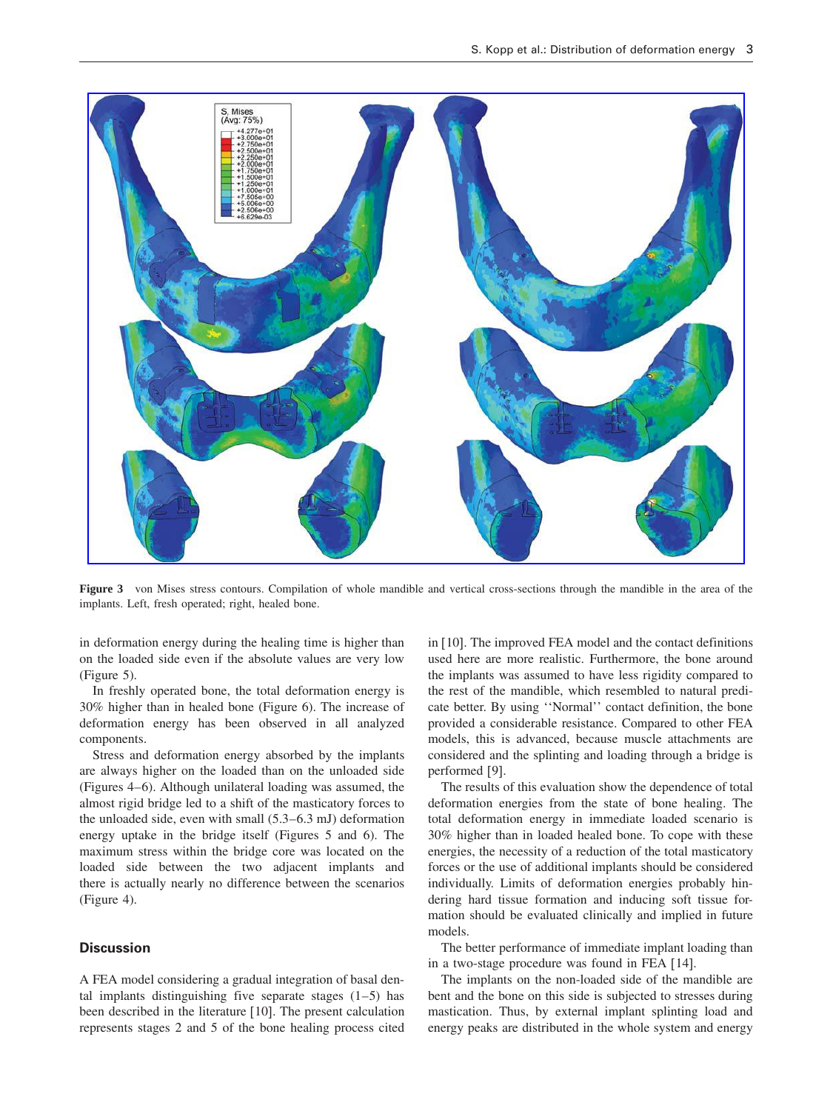

**Figure 3** von Mises stress contours. Compilation of whole mandible and vertical cross-sections through the mandible in the area of the implants. Left, fresh operated; right, healed bone.

in deformation energy during the healing time is higher than on the loaded side even if the absolute values are very low (Figure 5).

In freshly operated bone, the total deformation energy is 30% higher than in healed bone (Figure 6). The increase of deformation energy has been observed in all analyzed components.

Stress and deformation energy absorbed by the implants are always higher on the loaded than on the unloaded side (Figures 4–6). Although unilateral loading was assumed, the almost rigid bridge led to a shift of the masticatory forces to the unloaded side, even with small (5.3–6.3 mJ) deformation energy uptake in the bridge itself (Figures 5 and 6). The maximum stress within the bridge core was located on the loaded side between the two adjacent implants and there is actually nearly no difference between the scenarios (Figure 4).

## **Discussion**

A FEA model considering a gradual integration of basal dental implants distinguishing five separate stages  $(1-5)$  has been described in the literature [10]. The present calculation represents stages 2 and 5 of the bone healing process cited in [10]. The improved FEA model and the contact definitions used here are more realistic. Furthermore, the bone around the implants was assumed to have less rigidity compared to the rest of the mandible, which resembled to natural predicate better. By using ''Normal'' contact definition, the bone provided a considerable resistance. Compared to other FEA models, this is advanced, because muscle attachments are considered and the splinting and loading through a bridge is performed [9].

The results of this evaluation show the dependence of total deformation energies from the state of bone healing. The total deformation energy in immediate loaded scenario is 30% higher than in loaded healed bone. To cope with these energies, the necessity of a reduction of the total masticatory forces or the use of additional implants should be considered individually. Limits of deformation energies probably hindering hard tissue formation and inducing soft tissue formation should be evaluated clinically and implied in future models.

The better performance of immediate implant loading than in a two-stage procedure was found in FEA  $[14]$ .

The implants on the non-loaded side of the mandible are bent and the bone on this side is subjected to stresses during mastication. Thus, by external implant splinting load and energy peaks are distributed in the whole system and energy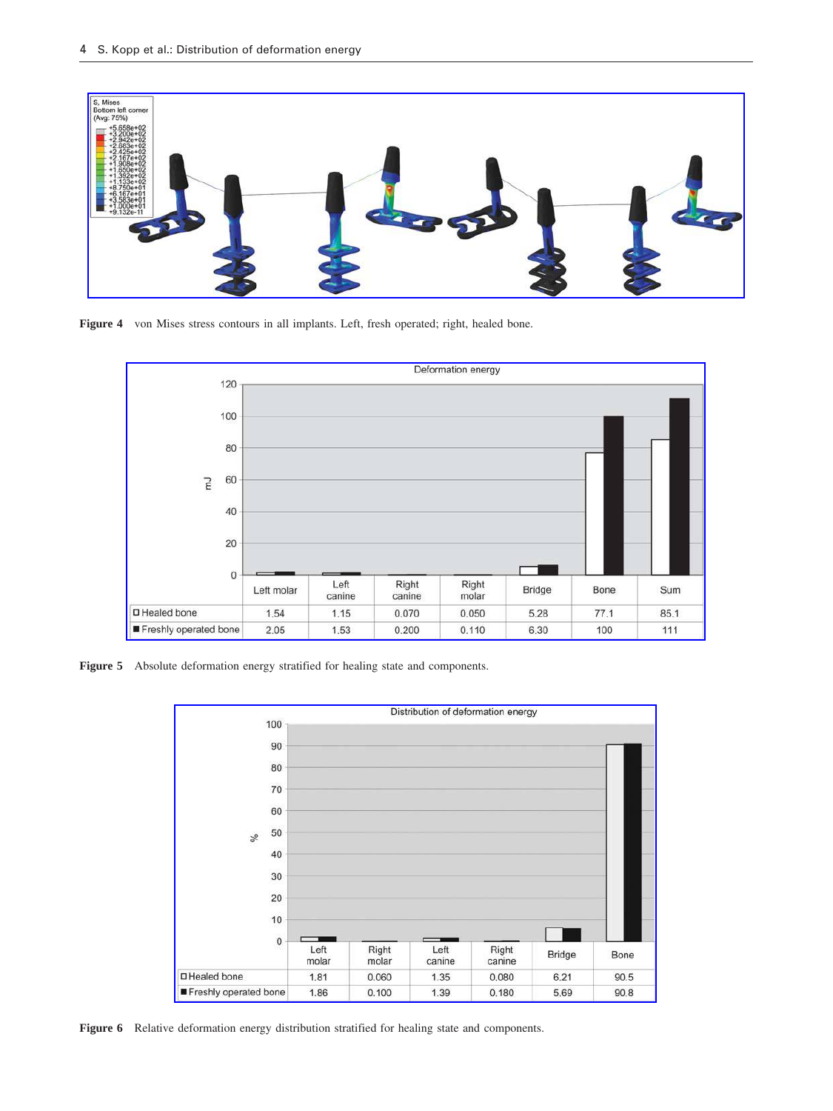

Figure 4 von Mises stress contours in all implants. Left, fresh operated; right, healed bone.



**Figure 5** Absolute deformation energy stratified for healing state and components.



**Figure 6** Relative deformation energy distribution stratified for healing state and components.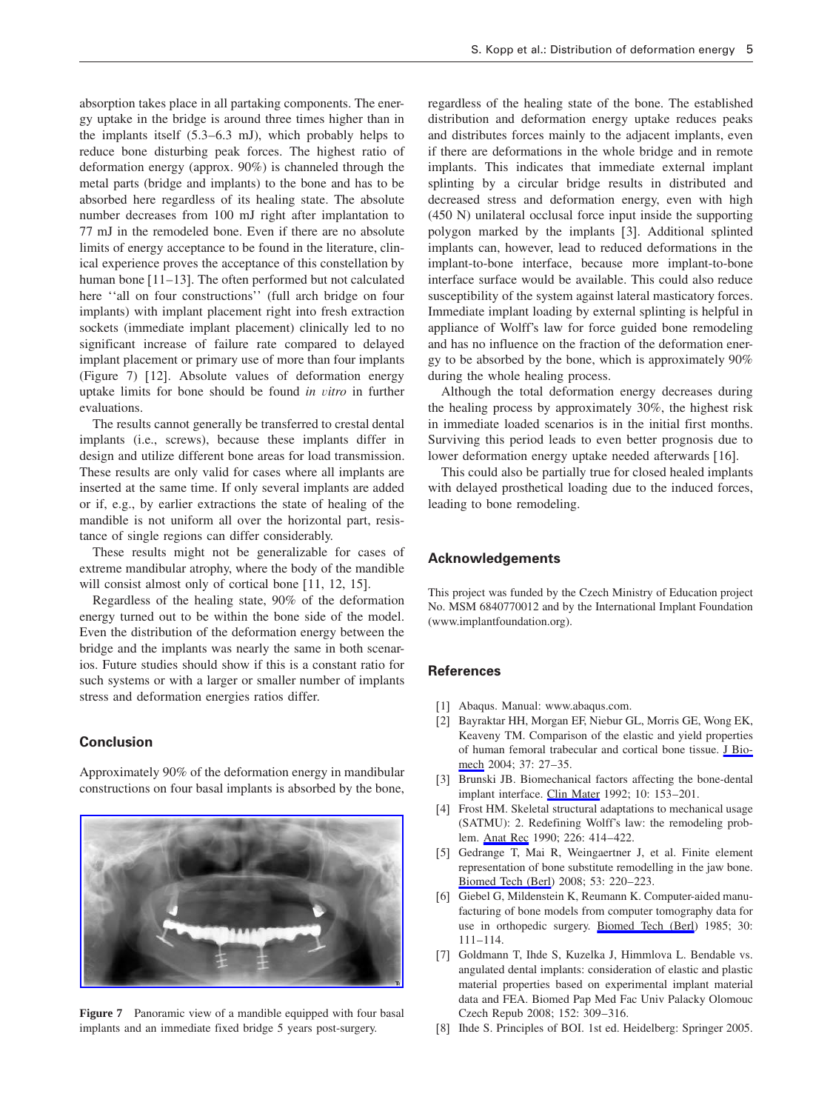absorption takes place in all partaking components. The energy uptake in the bridge is around three times higher than in the implants itself (5.3–6.3 mJ), which probably helps to reduce bone disturbing peak forces. The highest ratio of deformation energy (approx. 90%) is channeled through the metal parts (bridge and implants) to the bone and has to be absorbed here regardless of its healing state. The absolute number decreases from 100 mJ right after implantation to 77 mJ in the remodeled bone. Even if there are no absolute limits of energy acceptance to be found in the literature, clinical experience proves the acceptance of this constellation by human bone  $[11–13]$ . The often performed but not calculated here ''all on four constructions'' (full arch bridge on four implants) with implant placement right into fresh extraction sockets (immediate implant placement) clinically led to no significant increase of failure rate compared to delayed implant placement or primary use of more than four implants (Figure 7)  $[12]$ . Absolute values of deformation energy uptake limits for bone should be found *in vitro* in further evaluations.

The results cannot generally be transferred to crestal dental implants (i.e., screws), because these implants differ in design and utilize different bone areas for load transmission. These results are only valid for cases where all implants are inserted at the same time. If only several implants are added or if, e.g., by earlier extractions the state of healing of the mandible is not uniform all over the horizontal part, resistance of single regions can differ considerably.

These results might not be generalizable for cases of extreme mandibular atrophy, where the body of the mandible will consist almost only of cortical bone  $[11, 12, 15]$ .

Regardless of the healing state, 90% of the deformation energy turned out to be within the bone side of the model. Even the distribution of the deformation energy between the bridge and the implants was nearly the same in both scenarios. Future studies should show if this is a constant ratio for such systems or with a larger or smaller number of implants stress and deformation energies ratios differ.

# **Conclusion**

Approximately 90% of the deformation energy in mandibular constructions on four basal implants is absorbed by the bone,



**Figure 7** Panoramic view of a mandible equipped with four basal implants and an immediate fixed bridge 5 years post-surgery.

regardless of the healing state of the bone. The established distribution and deformation energy uptake reduces peaks and distributes forces mainly to the adjacent implants, even if there are deformations in the whole bridge and in remote implants. This indicates that immediate external implant splinting by a circular bridge results in distributed and decreased stress and deformation energy, even with high (450 N) unilateral occlusal force input inside the supporting polygon marked by the implants [3]. Additional splinted implants can, however, lead to reduced deformations in the implant-to-bone interface, because more implant-to-bone interface surface would be available. This could also reduce susceptibility of the system against lateral masticatory forces. Immediate implant loading by external splinting is helpful in appliance of Wolff's law for force guided bone remodeling and has no influence on the fraction of the deformation energy to be absorbed by the bone, which is approximately 90% during the whole healing process.

Although the total deformation energy decreases during the healing process by approximately 30%, the highest risk in immediate loaded scenarios is in the initial first months. Surviving this period leads to even better prognosis due to lower deformation energy uptake needed afterwards [16].

This could also be partially true for closed healed implants with delayed prosthetical loading due to the induced forces, leading to bone remodeling.

#### **Acknowledgements**

This project was funded by the Czech Ministry of Education project No. MSM 6840770012 and by the International Implant Foundation (www.implantfoundation.org).

#### **References**

- [1] Abaqus. Manual: www.abaqus.com.
- [2] Bayraktar HH, Morgan EF, Niebur GL, Morris GE, Wong EK, Keaveny TM. Comparison of the elastic and yield properties of human femoral trabecular and cortical bone tissue. J Biomech 2004; 37: 27–35.
- [3] Brunski JB. Biomechanical factors affecting the bone-dental implant interface. Clin Mater 1992; 10: 153–201.
- [4] Frost HM. Skeletal structural adaptations to mechanical usage (SATMU): 2. Redefining Wolff's law: the remodeling problem. Anat Rec 1990; 226: 414–422.
- [5] Gedrange T, Mai R, Weingaertner J, et al. Finite element representation of bone substitute remodelling in the jaw bone. Biomed Tech (Berl) 2008; 53: 220–223.
- [6] Giebel G, Mildenstein K, Reumann K. Computer-aided manufacturing of bone models from computer tomography data for use in orthopedic surgery. Biomed Tech (Berl) 1985; 30: 111–114.
- [7] Goldmann T, Ihde S, Kuzelka J, Himmlova L. Bendable vs. angulated dental implants: consideration of elastic and plastic material properties based on experimental implant material data and FEA. Biomed Pap Med Fac Univ Palacky Olomouc Czech Repub 2008; 152: 309–316.
- [8] Ihde S. Principles of BOI. 1st ed. Heidelberg: Springer 2005.